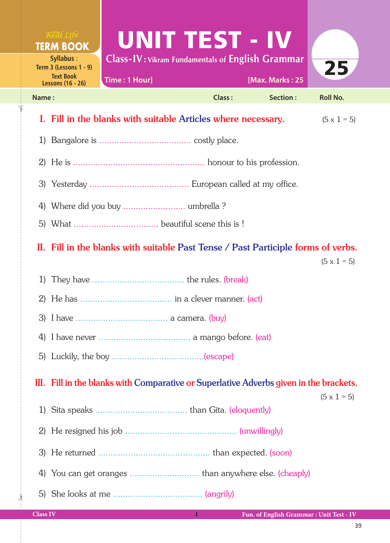